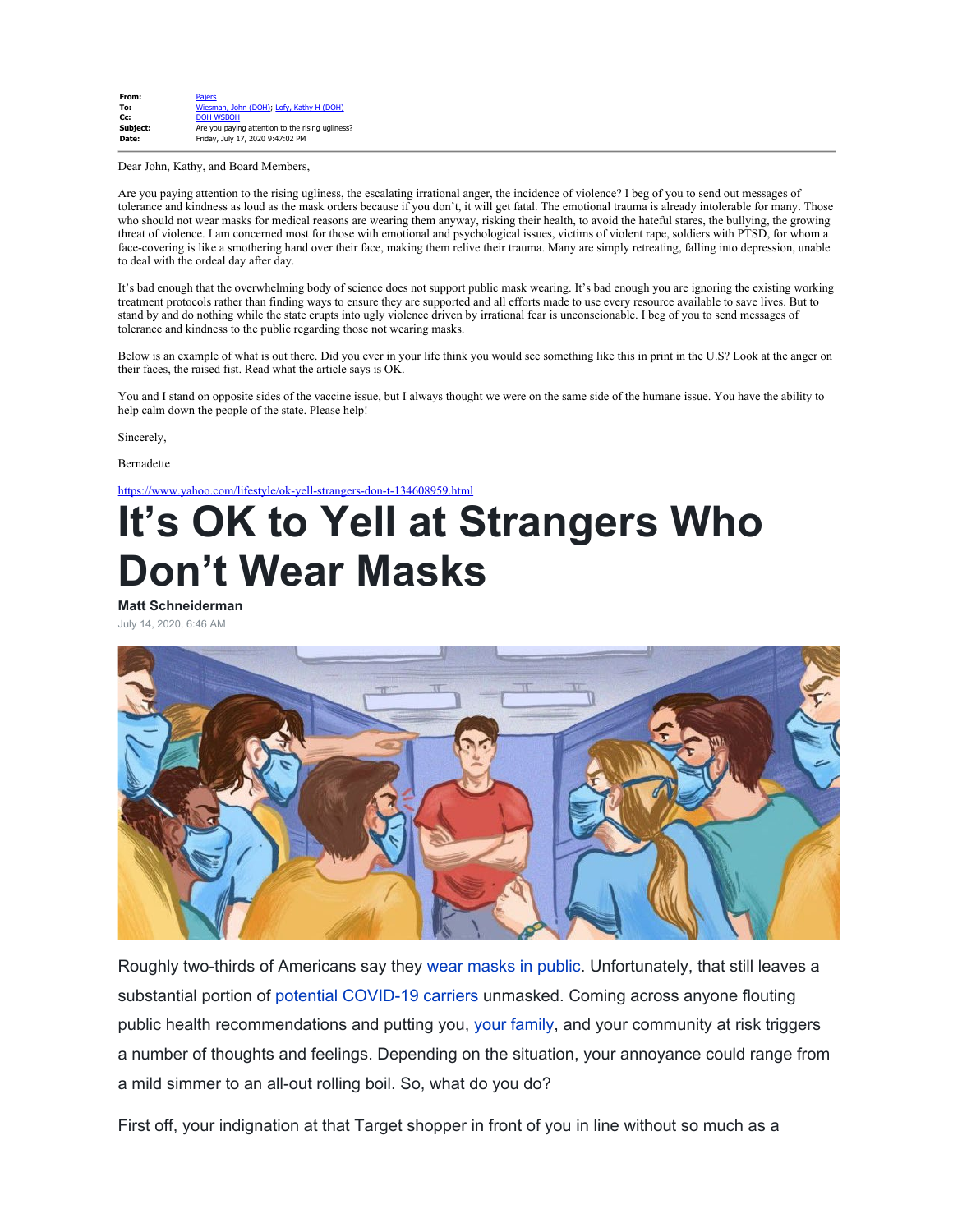| From:    | <b>Paiers</b>                                    |
|----------|--------------------------------------------------|
| To:      | Wiesman, John (DOH); Lofy, Kathy H (DOH)         |
| Cc:      | <b>DOH WSBOH</b>                                 |
| Subject: | Are you paying attention to the rising ugliness? |
| Date:    | Friday, July 17, 2020 9:47:02 PM                 |

Dear John, Kathy, and Board Members,

Are you paying attention to the rising ugliness, the escalating irrational anger, the incidence of violence? I beg of you to send out messages of tolerance and kindness as loud as the mask orders because if you don't, it will get fatal. The emotional trauma is already intolerable for many. Those who should not wear masks for medical reasons are wearing them anyway, risking their health, to avoid the hateful stares, the bullying, the growing threat of violence. I am concerned most for those with emotional and psychological issues, victims of violent rape, soldiers with PTSD, for whom a face-covering is like a smothering hand over their face, making them relive their trauma. Many are simply retreating, falling into depression, unable to deal with the ordeal day after day.

It's bad enough that the overwhelming body of science does not support public mask wearing. It's bad enough you are ignoring the existing working treatment protocols rather than finding ways to ensure they are supported and all efforts made to use every resource available to save lives. But to stand by and do nothing while the state erupts into ugly violence driven by irrational fear is unconscionable. I beg of you to send messages of tolerance and kindness to the public regarding those not wearing masks.

Below is an example of what is out there. Did you ever in your life think you would see something like this in print in the U.S? Look at the anger on their faces, the raised fist. Read what the article says is OK.

You and I stand on opposite sides of the vaccine issue, but I always thought we were on the same side of the humane issue. You have the ability to help calm down the people of the state. Please help!

Sincerely,

Bernadette

<https://www.yahoo.com/lifestyle/ok-yell-strangers-don-t-134608959.html>

# **It's OK to Yell at Strangers Who Don't Wear Masks**

**Matt Schneiderman**

July 14, 2020, 6:46 AM



Roughly two-thirds of Americans say they [wear masks in public](https://www.fatherly.com/love-money/why-men-dont-wear-face-masks/). Unfortunately, that still leaves a substantial portion of [potential COVID-19 carriers](https://www.fatherly.com/health-science/who-said-asymptomatic-people-dont-spread-covid-and-then-took-it-back/) unmasked. Coming across anyone flouting public health recommendations and putting you, [your family](https://www.fatherly.com/love-money/coronavirus-grandparents-quarantine/), and your community at risk triggers a number of thoughts and feelings. Depending on the situation, your annoyance could range from a mild simmer to an all-out rolling boil. So, what do you do?

First off, your indignation at that Target shopper in front of you in line without so much as a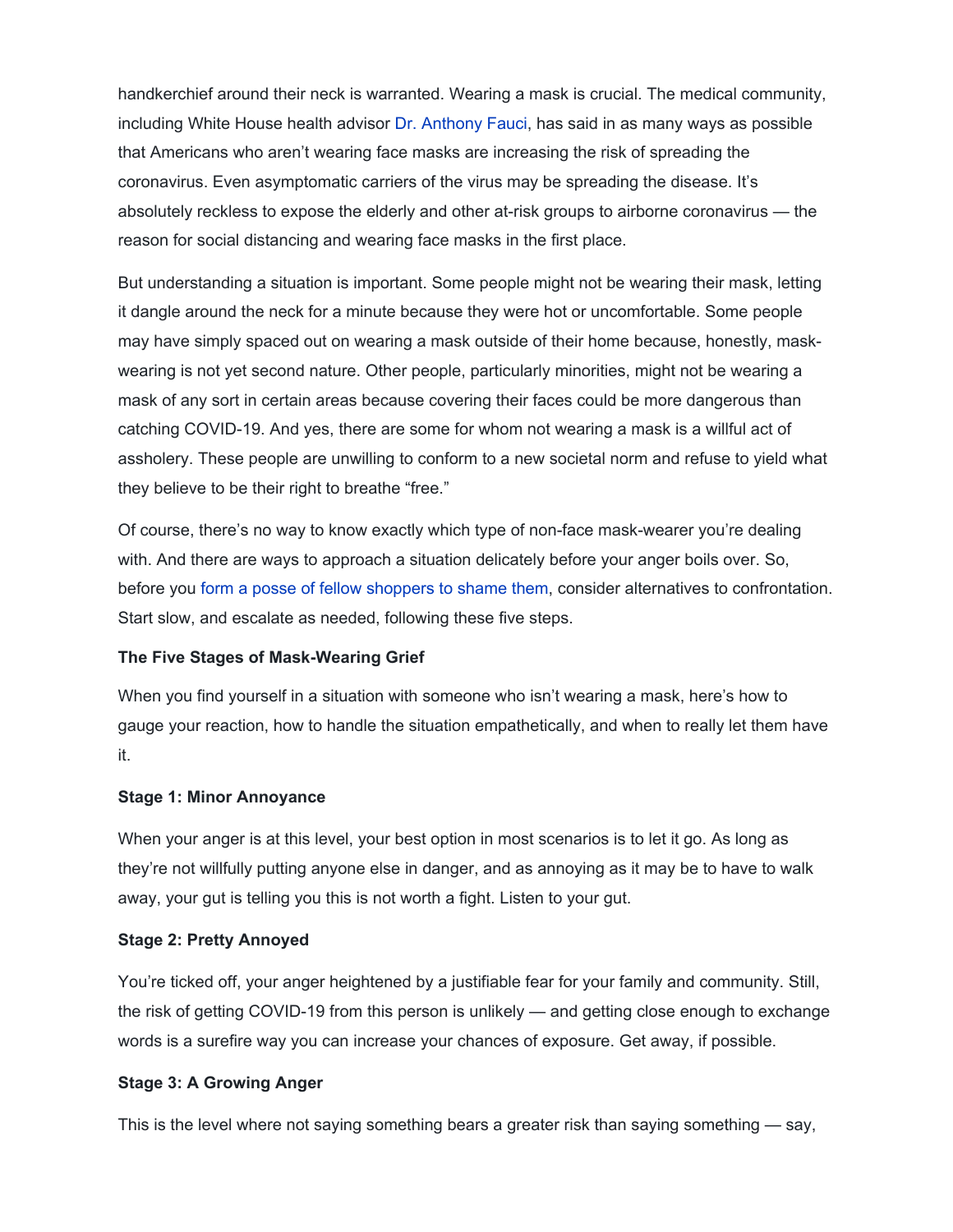handkerchief around their neck is warranted. Wearing a mask is crucial. The medical community, including White House health advisor [Dr. Anthony Fauci,](https://www.fatherly.com/health-science/these-are-the-science-dads-paving-the-way-for-a-better-future/) has said in as many ways as possible that Americans who aren't wearing face masks are increasing the risk of spreading the coronavirus. Even asymptomatic carriers of the virus may be spreading the disease. It's absolutely reckless to expose the elderly and other at-risk groups to airborne coronavirus — the reason for social distancing and wearing face masks in the first place.

But understanding a situation is important. Some people might not be wearing their mask, letting it dangle around the neck for a minute because they were hot or uncomfortable. Some people may have simply spaced out on wearing a mask outside of their home because, honestly, maskwearing is not yet second nature. Other people, particularly minorities, might not be wearing a mask of any sort in certain areas because covering their faces could be more dangerous than catching COVID-19. And yes, there are some for whom not wearing a mask is a willful act of assholery. These people are unwilling to conform to a new societal norm and refuse to yield what they believe to be their right to breathe "free."

Of course, there's no way to know exactly which type of non-face mask-wearer you're dealing with. And there are ways to approach a situation delicately before your anger boils over. So, before you [form a posse of fellow shoppers to shame them](https://www.cbsnews.com/news/shoppers-at-staten-island-grocery-store-scream-at-woman-for-not-wearing-mask-2020-05-25/), consider alternatives to confrontation. Start slow, and escalate as needed, following these five steps.

## **The Five Stages of Mask-Wearing Grief**

When you find yourself in a situation with someone who isn't wearing a mask, here's how to gauge your reaction, how to handle the situation empathetically, and when to really let them have it.

## **Stage 1: Minor Annoyance**

When your anger is at this level, your best option in most scenarios is to let it go. As long as they're not willfully putting anyone else in danger, and as annoying as it may be to have to walk away, your gut is telling you this is not worth a fight. Listen to your gut.

#### **Stage 2: Pretty Annoyed**

You're ticked off, your anger heightened by a justifiable fear for your family and community. Still, the risk of getting COVID-19 from this person is unlikely — and getting close enough to exchange words is a surefire way you can increase your chances of exposure. Get away, if possible.

## **Stage 3: A Growing Anger**

This is the level where not saying something bears a greater risk than saying something — say,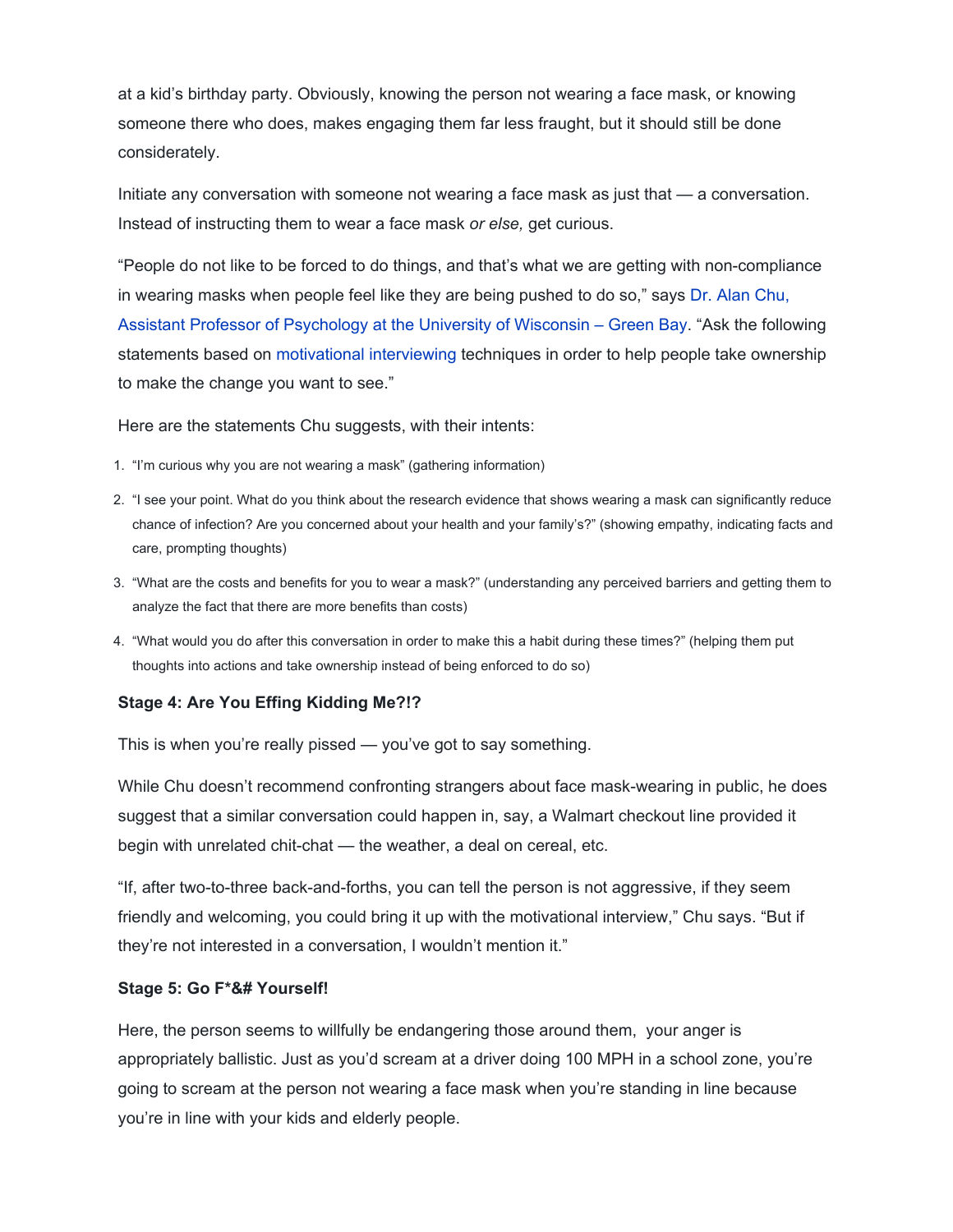at a kid's birthday party. Obviously, knowing the person not wearing a face mask, or knowing someone there who does, makes engaging them far less fraught, but it should still be done considerately.

Initiate any conversation with someone not wearing a face mask as just that — a conversation. Instead of instructing them to wear a face mask *or else,* get curious.

"People do not like to be forced to do things, and that's what we are getting with non-compliance in wearing masks when people feel like they are being pushed to do so," says [Dr. Alan Chu,](https://www.uwgb.edu/psychology/faculty-staff/faculty-staff/alan-chu/) [Assistant Professor of Psychology at the University of Wisconsin – Green Bay.](https://www.uwgb.edu/psychology/faculty-staff/faculty-staff/alan-chu/) "Ask the following statements based on [motivational interviewing](https://www.fatherly.com/love-money/how-to-use-motivational-interviewing-change-persons-mind/) techniques in order to help people take ownership to make the change you want to see."

Here are the statements Chu suggests, with their intents:

- 1. "I'm curious why you are not wearing a mask" (gathering information)
- 2. "I see your point. What do you think about the research evidence that shows wearing a mask can significantly reduce chance of infection? Are you concerned about your health and your family's?" (showing empathy, indicating facts and care, prompting thoughts)
- 3. "What are the costs and benefits for you to wear a mask?" (understanding any perceived barriers and getting them to analyze the fact that there are more benefits than costs)
- 4. "What would you do after this conversation in order to make this a habit during these times?" (helping them put thoughts into actions and take ownership instead of being enforced to do so)

# **Stage 4: Are You Effing Kidding Me?!?**

This is when you're really pissed — you've got to say something.

While Chu doesn't recommend confronting strangers about face mask-wearing in public, he does suggest that a similar conversation could happen in, say, a Walmart checkout line provided it begin with unrelated chit-chat — the weather, a deal on cereal, etc.

"If, after two-to-three back-and-forths, you can tell the person is not aggressive, if they seem friendly and welcoming, you could bring it up with the motivational interview," Chu says. "But if they're not interested in a conversation, I wouldn't mention it."

# **Stage 5: Go F\*&# Yourself!**

Here, the person seems to willfully be endangering those around them, your anger is appropriately ballistic. Just as you'd scream at a driver doing 100 MPH in a school zone, you're going to scream at the person not wearing a face mask when you're standing in line because you're in line with your kids and elderly people.